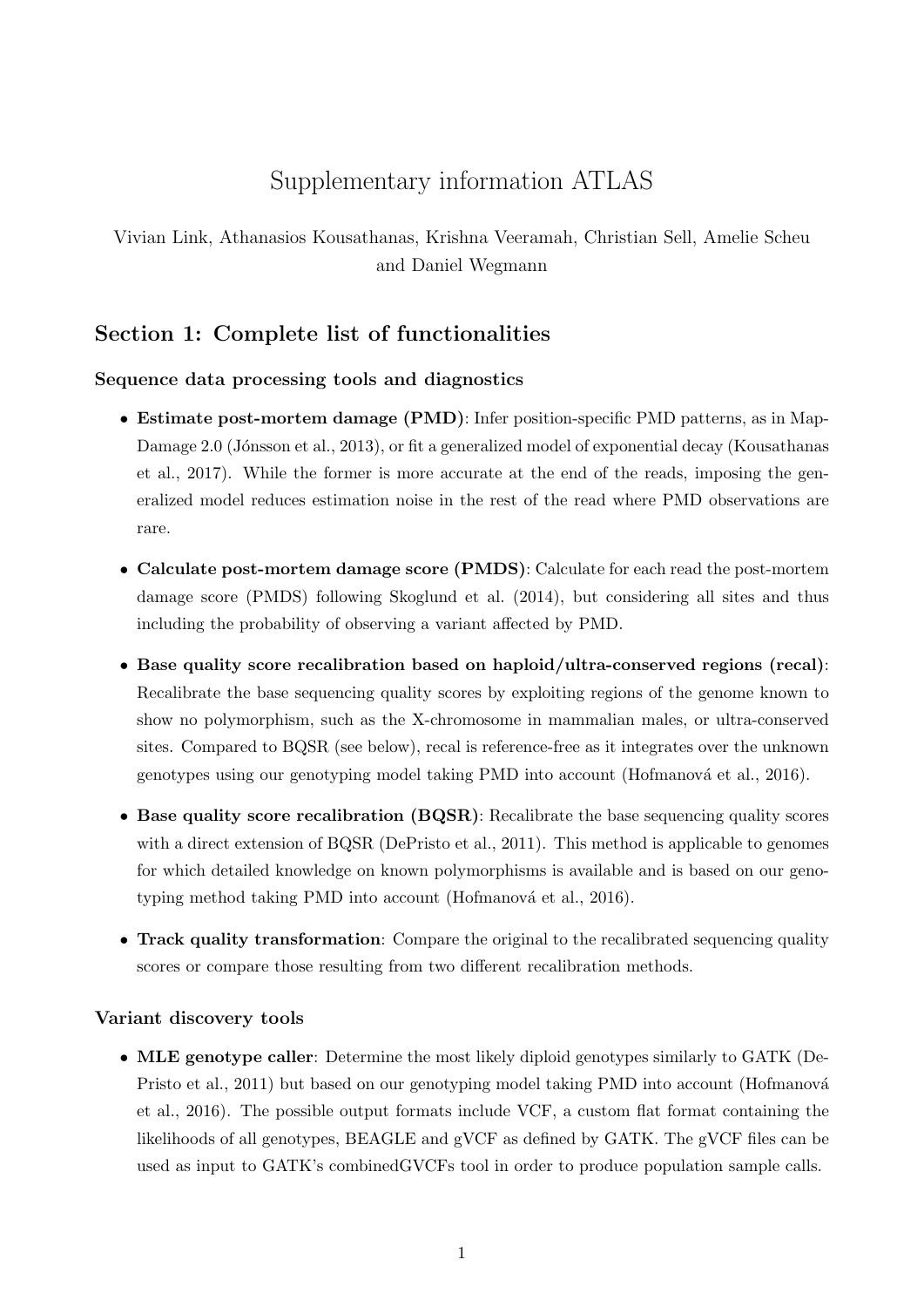# Supplementary information ATLAS

Vivian Link, Athanasios Kousathanas, Krishna Veeramah, Christian Sell, Amelie Scheu and Daniel Wegmann

# Section 1: Complete list of functionalities

## Sequence data processing tools and diagnostics

- Estimate post-mortem damage (PMD): Infer position-specific PMD patterns, as in Map-Damage 2.0 (Jónsson et al., 2013), or fit a generalized model of exponential decay (Kousathanas et al., 2017). While the former is more accurate at the end of the reads, imposing the generalized model reduces estimation noise in the rest of the read where PMD observations are rare.
- Calculate post-mortem damage score (PMDS): Calculate for each read the post-mortem damage score (PMDS) following Skoglund et al. (2014), but considering all sites and thus including the probability of observing a variant affected by PMD.
- Base quality score recalibration based on haploid/ultra-conserved regions (recal): Recalibrate the base sequencing quality scores by exploiting regions of the genome known to show no polymorphism, such as the X-chromosome in mammalian males, or ultra-conserved sites. Compared to BQSR (see below), recal is reference-free as it integrates over the unknown genotypes using our genotyping model taking PMD into account (Hofmanová et al., 2016).
- Base quality score recalibration (BQSR): Recalibrate the base sequencing quality scores with a direct extension of BQSR (DePristo et al., 2011). This method is applicable to genomes for which detailed knowledge on known polymorphisms is available and is based on our genotyping method taking PMD into account (Hofmanová et al., 2016).
- Track quality transformation: Compare the original to the recalibrated sequencing quality scores or compare those resulting from two different recalibration methods.

## Variant discovery tools

• MLE genotype caller: Determine the most likely diploid genotypes similarly to GATK (De-Pristo et al., 2011) but based on our genotyping model taking PMD into account (Hofmanová et al., 2016). The possible output formats include VCF, a custom flat format containing the likelihoods of all genotypes, BEAGLE and gVCF as defined by GATK. The gVCF files can be used as input to GATK's combinedGVCFs tool in order to produce population sample calls.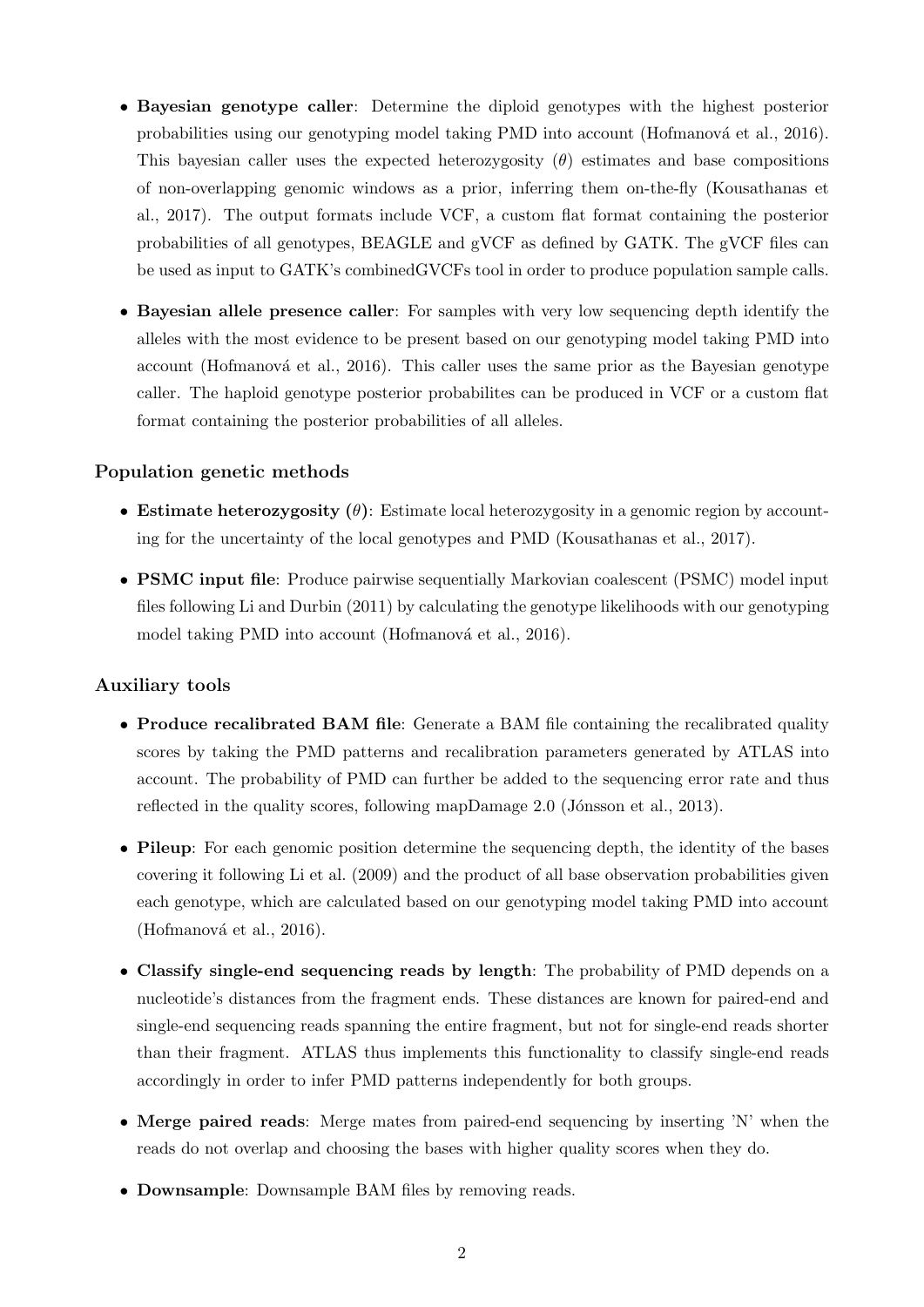- Bayesian genotype caller: Determine the diploid genotypes with the highest posterior probabilities using our genotyping model taking PMD into account (Hofmanová et al., 2016). This bayesian caller uses the expected heterozygosity  $(\theta)$  estimates and base compositions of non-overlapping genomic windows as a prior, inferring them on-the-fly (Kousathanas et al., 2017). The output formats include VCF, a custom flat format containing the posterior probabilities of all genotypes, BEAGLE and gVCF as defined by GATK. The gVCF files can be used as input to GATK's combinedGVCFs tool in order to produce population sample calls.
- Bayesian allele presence caller: For samples with very low sequencing depth identify the alleles with the most evidence to be present based on our genotyping model taking PMD into account (Hofmanová et al., 2016). This caller uses the same prior as the Bayesian genotype caller. The haploid genotype posterior probabilites can be produced in VCF or a custom flat format containing the posterior probabilities of all alleles.

## Population genetic methods

- Estimate heterozygosity  $(\theta)$ : Estimate local heterozygosity in a genomic region by accounting for the uncertainty of the local genotypes and PMD (Kousathanas et al., 2017).
- PSMC input file: Produce pairwise sequentially Markovian coalescent (PSMC) model input files following Li and Durbin (2011) by calculating the genotype likelihoods with our genotyping model taking PMD into account (Hofmanová et al., 2016).

## Auxiliary tools

- Produce recalibrated BAM file: Generate a BAM file containing the recalibrated quality scores by taking the PMD patterns and recalibration parameters generated by ATLAS into account. The probability of PMD can further be added to the sequencing error rate and thus reflected in the quality scores, following mapDamage  $2.0$  (Jónsson et al., 2013).
- Pileup: For each genomic position determine the sequencing depth, the identity of the bases covering it following Li et al. (2009) and the product of all base observation probabilities given each genotype, which are calculated based on our genotyping model taking PMD into account (Hofmanová et al., 2016).
- Classify single-end sequencing reads by length: The probability of PMD depends on a nucleotide's distances from the fragment ends. These distances are known for paired-end and single-end sequencing reads spanning the entire fragment, but not for single-end reads shorter than their fragment. ATLAS thus implements this functionality to classify single-end reads accordingly in order to infer PMD patterns independently for both groups.
- Merge paired reads: Merge mates from paired-end sequencing by inserting 'N' when the reads do not overlap and choosing the bases with higher quality scores when they do.
- Downsample: Downsample BAM files by removing reads.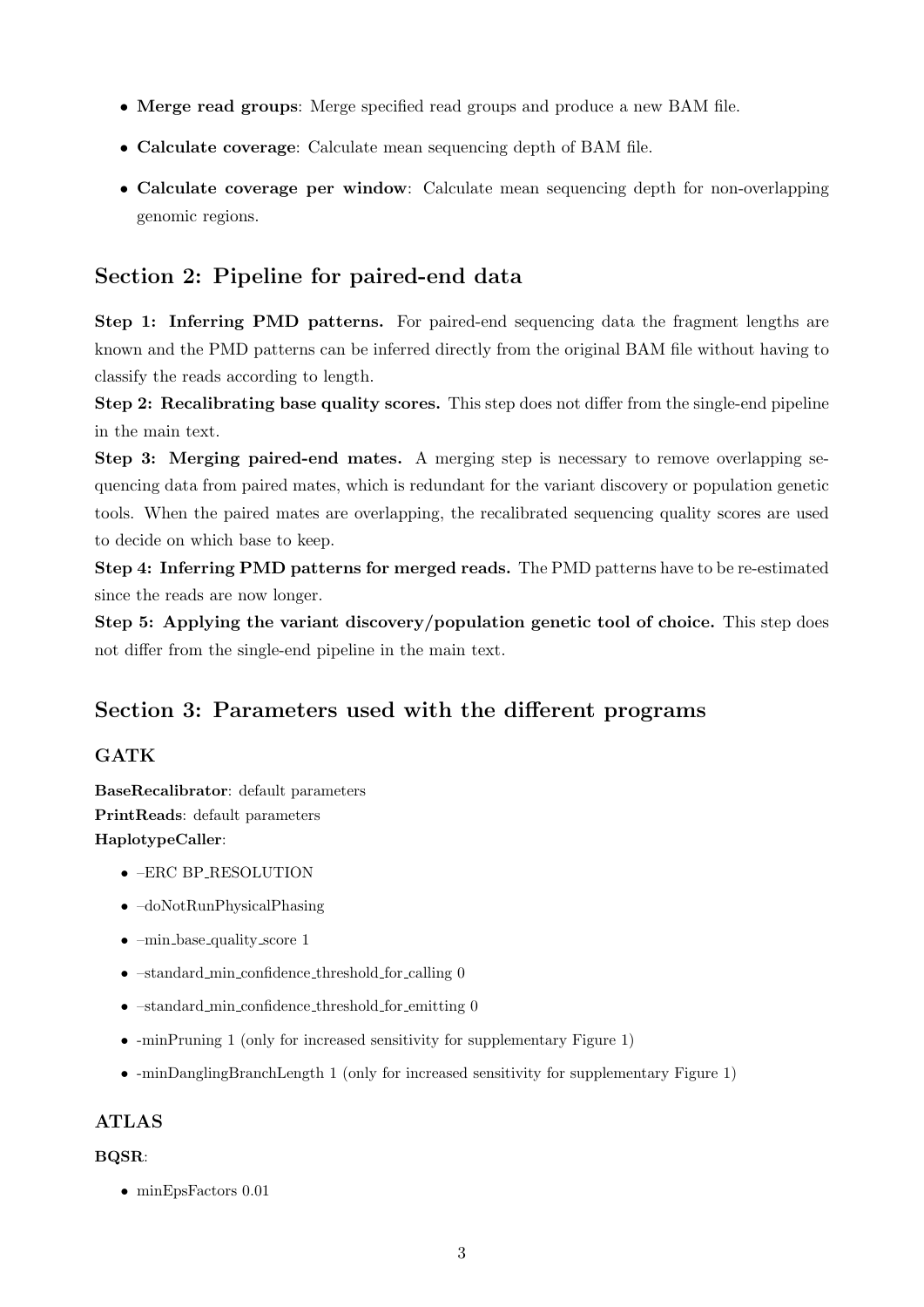- Merge read groups: Merge specified read groups and produce a new BAM file.
- Calculate coverage: Calculate mean sequencing depth of BAM file.
- Calculate coverage per window: Calculate mean sequencing depth for non-overlapping genomic regions.

# Section 2: Pipeline for paired-end data

Step 1: Inferring PMD patterns. For paired-end sequencing data the fragment lengths are known and the PMD patterns can be inferred directly from the original BAM file without having to classify the reads according to length.

Step 2: Recalibrating base quality scores. This step does not differ from the single-end pipeline in the main text.

Step 3: Merging paired-end mates. A merging step is necessary to remove overlapping sequencing data from paired mates, which is redundant for the variant discovery or population genetic tools. When the paired mates are overlapping, the recalibrated sequencing quality scores are used to decide on which base to keep.

Step 4: Inferring PMD patterns for merged reads. The PMD patterns have to be re-estimated since the reads are now longer.

Step 5: Applying the variant discovery/population genetic tool of choice. This step does not differ from the single-end pipeline in the main text.

# Section 3: Parameters used with the different programs

## **GATK**

BaseRecalibrator: default parameters PrintReads: default parameters HaplotypeCaller:

- –ERC BP RESOLUTION
- –doNotRunPhysicalPhasing
- $\text{-min\_base\_quality\_score}$  1
- $\bullet$  -standard min confidence threshold for calling 0
- -standard\_min\_confidence\_threshold\_for\_emitting 0
- -minPruning 1 (only for increased sensitivity for supplementary Figure 1)
- -minDanglingBranchLength 1 (only for increased sensitivity for supplementary Figure 1)

# ATLAS

## BQSR:

• minEpsFactors 0.01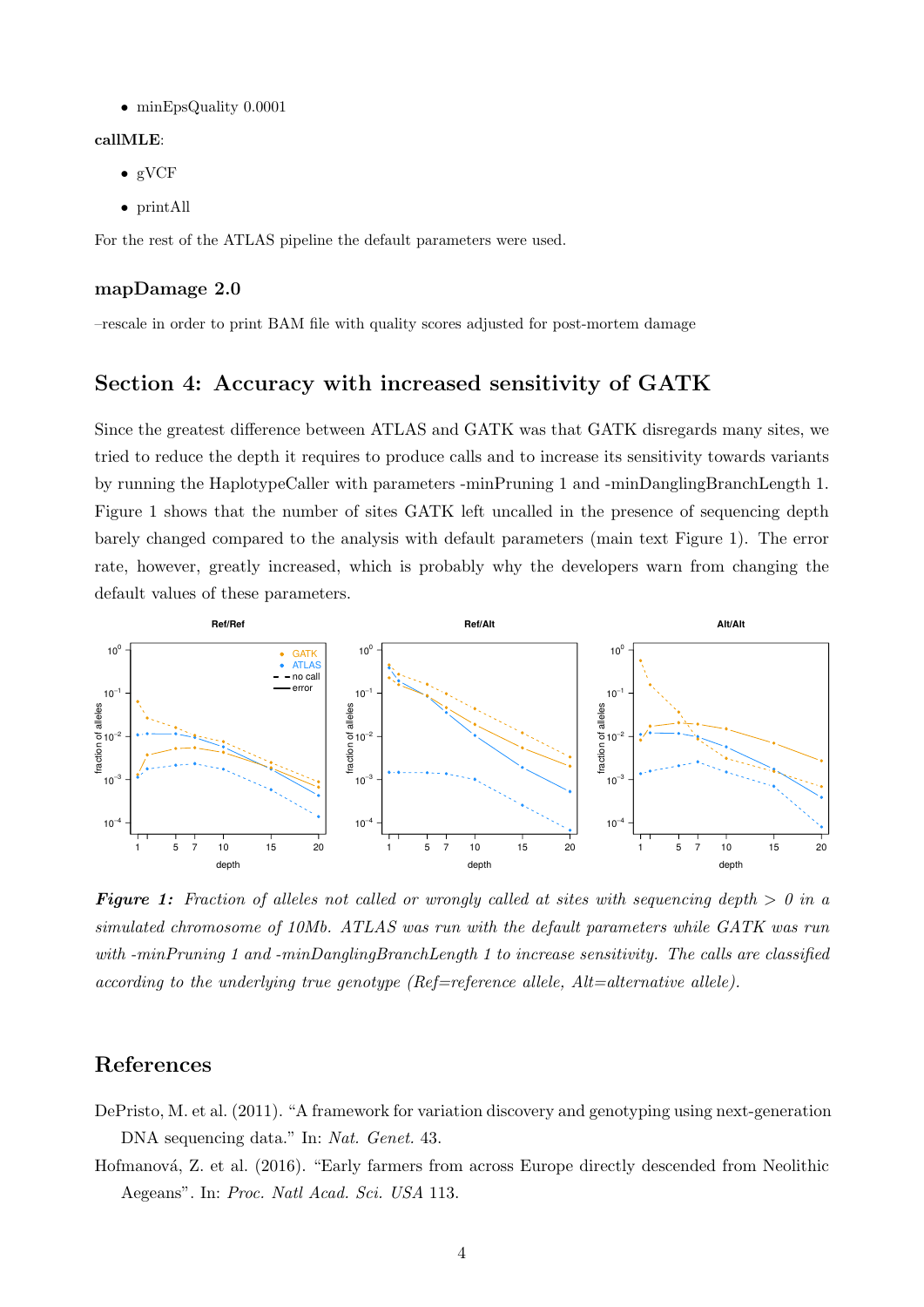• minEpsQuality 0.0001

#### callMLE:

- gVCF
- printAll

For the rest of the ATLAS pipeline the default parameters were used.

#### mapDamage 2.0

–rescale in order to print BAM file with quality scores adjusted for post-mortem damage

# Section 4: Accuracy with increased sensitivity of GATK

Since the greatest difference between ATLAS and GATK was that GATK disregards many sites, we tried to reduce the depth it requires to produce calls and to increase its sensitivity towards variants by running the HaplotypeCaller with parameters -minPruning 1 and -minDanglingBranchLength 1. Figure 1 shows that the number of sites GATK left uncalled in the presence of sequencing depth barely changed compared to the analysis with default parameters (main text Figure 1). The error rate, however, greatly increased, which is probably why the developers warn from changing the default values of these parameters.



**Figure 1:** Fraction of alleles not called or wrongly called at sites with sequencing depth  $> 0$  in a simulated chromosome of 10Mb. ATLAS was run with the default parameters while GATK was run with -minPruning 1 and -minDanglingBranchLength 1 to increase sensitivity. The calls are classified according to the underlying true genotype ( $Ref=reference$  allele,  $Alt=alternative$  allele).

# References

- DePristo, M. et al. (2011). "A framework for variation discovery and genotyping using next-generation DNA sequencing data." In: Nat. Genet. 43.
- Hofmanová, Z. et al. (2016). "Early farmers from across Europe directly descended from Neolithic Aegeans". In: Proc. Natl Acad. Sci. USA 113.